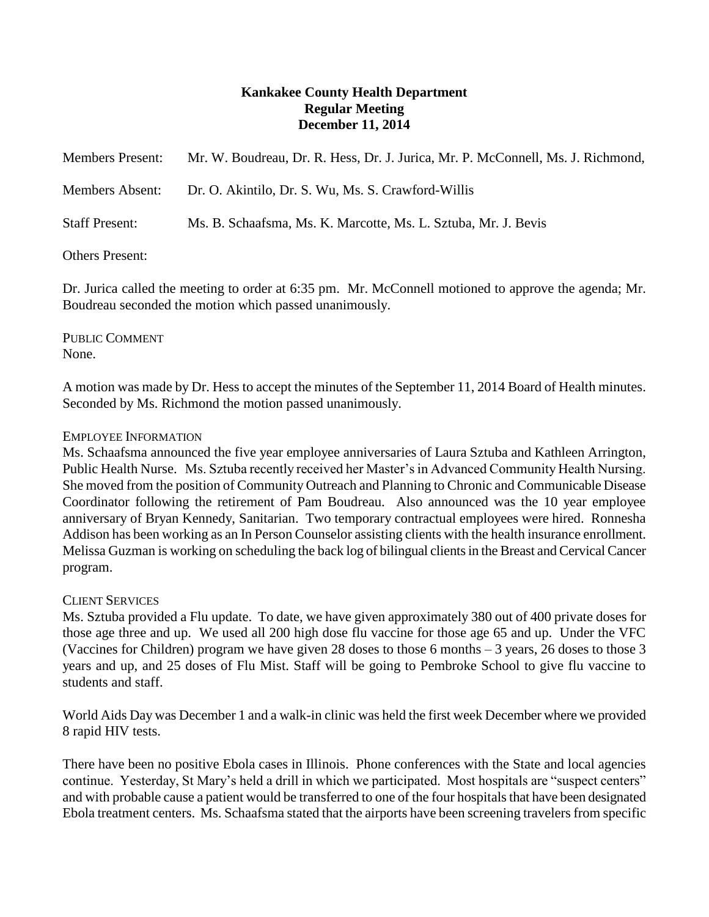# **Kankakee County Health Department Regular Meeting December 11, 2014**

| <b>Members Present:</b> | Mr. W. Boudreau, Dr. R. Hess, Dr. J. Jurica, Mr. P. McConnell, Ms. J. Richmond, |
|-------------------------|---------------------------------------------------------------------------------|
| <b>Members Absent:</b>  | Dr. O. Akintilo, Dr. S. Wu, Ms. S. Crawford-Willis                              |
| <b>Staff Present:</b>   | Ms. B. Schaafsma, Ms. K. Marcotte, Ms. L. Sztuba, Mr. J. Bevis                  |
| $Othone$ Droganti       |                                                                                 |

## Others Present:

Dr. Jurica called the meeting to order at 6:35 pm. Mr. McConnell motioned to approve the agenda; Mr. Boudreau seconded the motion which passed unanimously.

PUBLIC COMMENT None.

A motion was made by Dr. Hess to accept the minutes of the September 11, 2014 Board of Health minutes. Seconded by Ms. Richmond the motion passed unanimously.

# EMPLOYEE INFORMATION

Ms. Schaafsma announced the five year employee anniversaries of Laura Sztuba and Kathleen Arrington, Public Health Nurse. Ms. Sztuba recently received her Master's in Advanced Community Health Nursing. She moved from the position of Community Outreach and Planning to Chronic and Communicable Disease Coordinator following the retirement of Pam Boudreau. Also announced was the 10 year employee anniversary of Bryan Kennedy, Sanitarian. Two temporary contractual employees were hired. Ronnesha Addison has been working as an In Person Counselor assisting clients with the health insurance enrollment. Melissa Guzman is working on scheduling the back log of bilingual clients in the Breast and Cervical Cancer program.

# CLIENT SERVICES

Ms. Sztuba provided a Flu update. To date, we have given approximately 380 out of 400 private doses for those age three and up. We used all 200 high dose flu vaccine for those age 65 and up. Under the VFC (Vaccines for Children) program we have given 28 doses to those 6 months – 3 years, 26 doses to those 3 years and up, and 25 doses of Flu Mist. Staff will be going to Pembroke School to give flu vaccine to students and staff.

World Aids Day was December 1 and a walk-in clinic was held the first week December where we provided 8 rapid HIV tests.

There have been no positive Ebola cases in Illinois. Phone conferences with the State and local agencies continue. Yesterday, St Mary's held a drill in which we participated. Most hospitals are "suspect centers" and with probable cause a patient would be transferred to one of the four hospitals that have been designated Ebola treatment centers. Ms. Schaafsma stated that the airports have been screening travelers from specific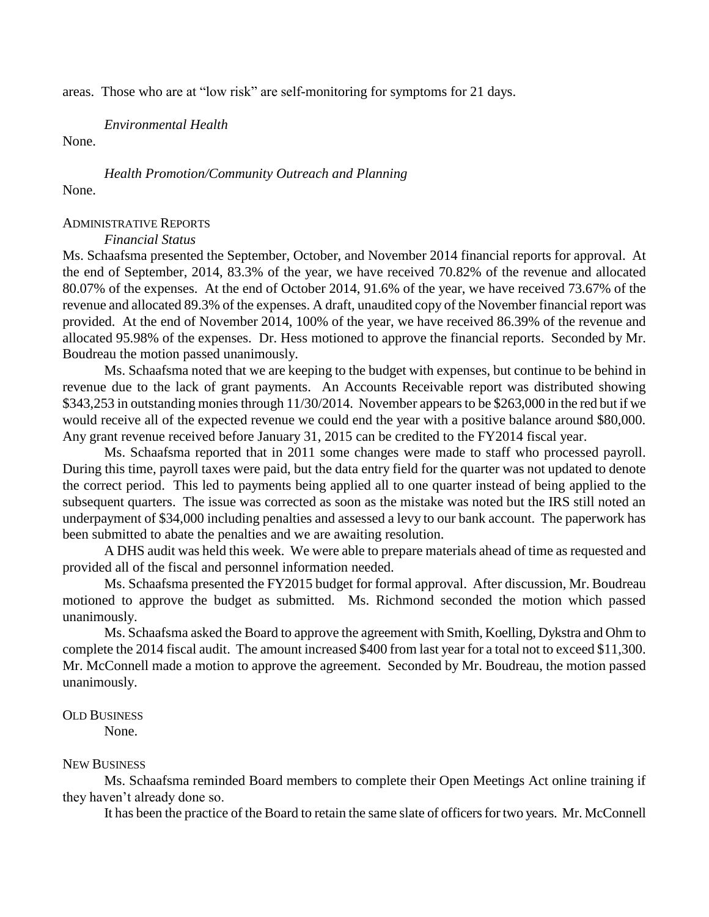areas. Those who are at "low risk" are self-monitoring for symptoms for 21 days.

*Environmental Health*

None.

*Health Promotion/Community Outreach and Planning* None.

### ADMINISTRATIVE REPORTS

#### *Financial Status*

Ms. Schaafsma presented the September, October, and November 2014 financial reports for approval. At the end of September, 2014, 83.3% of the year, we have received 70.82% of the revenue and allocated 80.07% of the expenses. At the end of October 2014, 91.6% of the year, we have received 73.67% of the revenue and allocated 89.3% of the expenses. A draft, unaudited copy of the November financial report was provided. At the end of November 2014, 100% of the year, we have received 86.39% of the revenue and allocated 95.98% of the expenses. Dr. Hess motioned to approve the financial reports. Seconded by Mr. Boudreau the motion passed unanimously.

Ms. Schaafsma noted that we are keeping to the budget with expenses, but continue to be behind in revenue due to the lack of grant payments. An Accounts Receivable report was distributed showing \$343,253 in outstanding monies through 11/30/2014. November appears to be \$263,000 in the red but if we would receive all of the expected revenue we could end the year with a positive balance around \$80,000. Any grant revenue received before January 31, 2015 can be credited to the FY2014 fiscal year.

Ms. Schaafsma reported that in 2011 some changes were made to staff who processed payroll. During this time, payroll taxes were paid, but the data entry field for the quarter was not updated to denote the correct period. This led to payments being applied all to one quarter instead of being applied to the subsequent quarters. The issue was corrected as soon as the mistake was noted but the IRS still noted an underpayment of \$34,000 including penalties and assessed a levy to our bank account. The paperwork has been submitted to abate the penalties and we are awaiting resolution.

A DHS audit was held this week. We were able to prepare materials ahead of time as requested and provided all of the fiscal and personnel information needed.

Ms. Schaafsma presented the FY2015 budget for formal approval. After discussion, Mr. Boudreau motioned to approve the budget as submitted. Ms. Richmond seconded the motion which passed unanimously.

Ms. Schaafsma asked the Board to approve the agreement with Smith, Koelling, Dykstra and Ohm to complete the 2014 fiscal audit. The amount increased \$400 from last year for a total not to exceed \$11,300. Mr. McConnell made a motion to approve the agreement. Seconded by Mr. Boudreau, the motion passed unanimously.

### OLD BUSINESS

None.

### NEW BUSINESS

Ms. Schaafsma reminded Board members to complete their Open Meetings Act online training if they haven't already done so.

It has been the practice of the Board to retain the same slate of officers for two years. Mr. McConnell